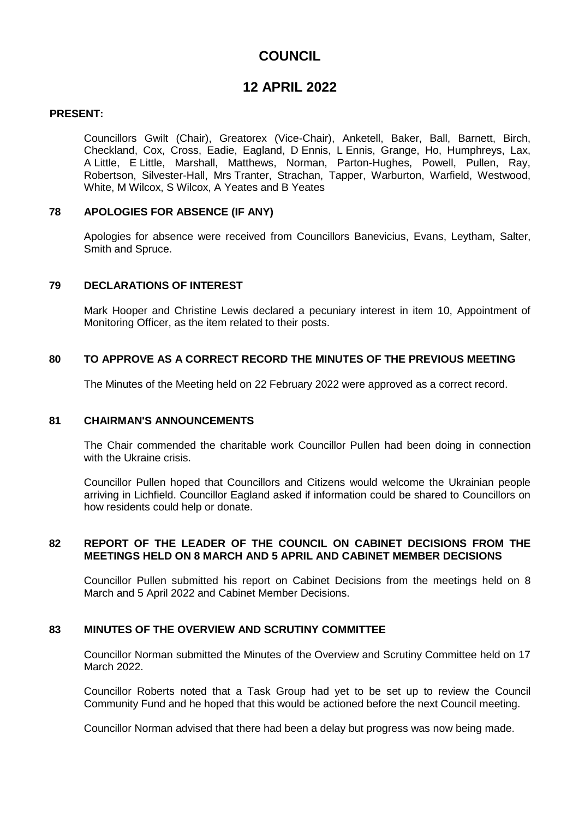# **COUNCIL**

# **12 APRIL 2022**

## **PRESENT:**

Councillors Gwilt (Chair), Greatorex (Vice-Chair), Anketell, Baker, Ball, Barnett, Birch, Checkland, Cox, Cross, Eadie, Eagland, D Ennis, L Ennis, Grange, Ho, Humphreys, Lax, A Little, E Little, Marshall, Matthews, Norman, Parton-Hughes, Powell, Pullen, Ray, Robertson, Silvester-Hall, Mrs Tranter, Strachan, Tapper, Warburton, Warfield, Westwood, White, M Wilcox, S Wilcox, A Yeates and B Yeates

### **78 APOLOGIES FOR ABSENCE (IF ANY)**

Apologies for absence were received from Councillors Banevicius, Evans, Leytham, Salter, Smith and Spruce.

## **79 DECLARATIONS OF INTEREST**

Mark Hooper and Christine Lewis declared a pecuniary interest in item 10, Appointment of Monitoring Officer, as the item related to their posts.

### **80 TO APPROVE AS A CORRECT RECORD THE MINUTES OF THE PREVIOUS MEETING**

The Minutes of the Meeting held on 22 February 2022 were approved as a correct record.

#### **81 CHAIRMAN'S ANNOUNCEMENTS**

The Chair commended the charitable work Councillor Pullen had been doing in connection with the Ukraine crisis.

Councillor Pullen hoped that Councillors and Citizens would welcome the Ukrainian people arriving in Lichfield. Councillor Eagland asked if information could be shared to Councillors on how residents could help or donate.

### **82 REPORT OF THE LEADER OF THE COUNCIL ON CABINET DECISIONS FROM THE MEETINGS HELD ON 8 MARCH AND 5 APRIL AND CABINET MEMBER DECISIONS**

Councillor Pullen submitted his report on Cabinet Decisions from the meetings held on 8 March and 5 April 2022 and Cabinet Member Decisions.

## **83 MINUTES OF THE OVERVIEW AND SCRUTINY COMMITTEE**

Councillor Norman submitted the Minutes of the Overview and Scrutiny Committee held on 17 March 2022.

Councillor Roberts noted that a Task Group had yet to be set up to review the Council Community Fund and he hoped that this would be actioned before the next Council meeting.

Councillor Norman advised that there had been a delay but progress was now being made.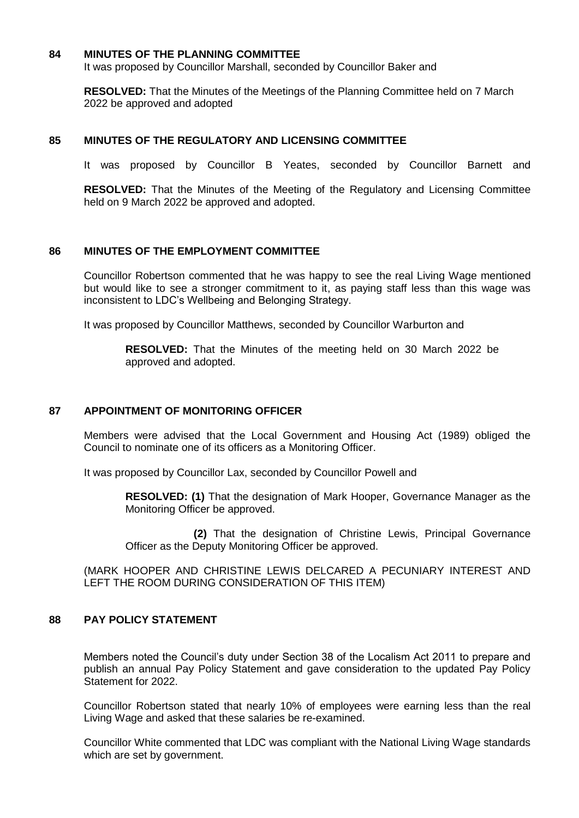#### **84 MINUTES OF THE PLANNING COMMITTEE**

It was proposed by Councillor Marshall, seconded by Councillor Baker and

**RESOLVED:** That the Minutes of the Meetings of the Planning Committee held on 7 March 2022 be approved and adopted

#### **85 MINUTES OF THE REGULATORY AND LICENSING COMMITTEE**

It was proposed by Councillor B Yeates, seconded by Councillor Barnett and

**RESOLVED:** That the Minutes of the Meeting of the Regulatory and Licensing Committee held on 9 March 2022 be approved and adopted.

### **86 MINUTES OF THE EMPLOYMENT COMMITTEE**

Councillor Robertson commented that he was happy to see the real Living Wage mentioned but would like to see a stronger commitment to it, as paying staff less than this wage was inconsistent to LDC's Wellbeing and Belonging Strategy.

It was proposed by Councillor Matthews, seconded by Councillor Warburton and

**RESOLVED:** That the Minutes of the meeting held on 30 March 2022 be approved and adopted.

### **87 APPOINTMENT OF MONITORING OFFICER**

Members were advised that the Local Government and Housing Act (1989) obliged the Council to nominate one of its officers as a Monitoring Officer.

It was proposed by Councillor Lax, seconded by Councillor Powell and

**RESOLVED: (1)** That the designation of Mark Hooper, Governance Manager as the Monitoring Officer be approved.

 **(2)** That the designation of Christine Lewis, Principal Governance Officer as the Deputy Monitoring Officer be approved.

(MARK HOOPER AND CHRISTINE LEWIS DELCARED A PECUNIARY INTEREST AND LEFT THE ROOM DURING CONSIDERATION OF THIS ITEM)

#### **88 PAY POLICY STATEMENT**

Members noted the Council's duty under Section 38 of the Localism Act 2011 to prepare and publish an annual Pay Policy Statement and gave consideration to the updated Pay Policy Statement for 2022.

Councillor Robertson stated that nearly 10% of employees were earning less than the real Living Wage and asked that these salaries be re-examined.

Councillor White commented that LDC was compliant with the National Living Wage standards which are set by government.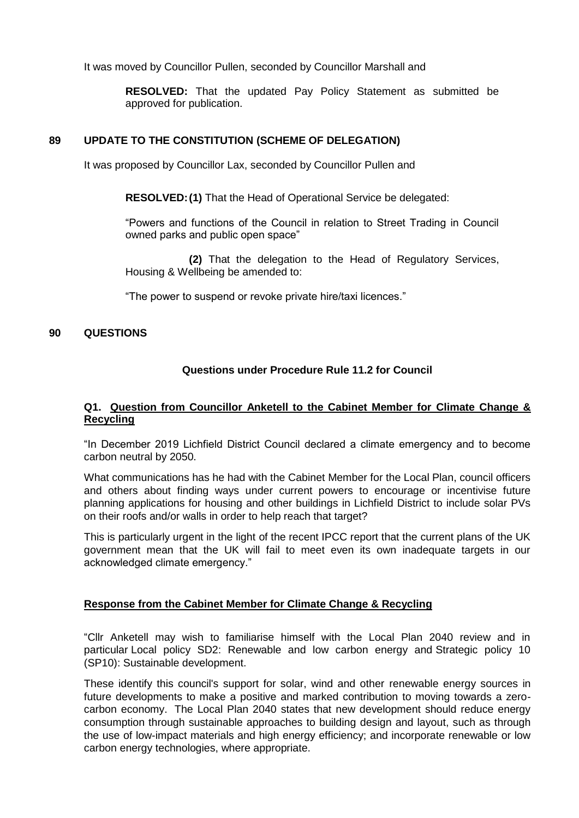It was moved by Councillor Pullen, seconded by Councillor Marshall and

**RESOLVED:** That the updated Pay Policy Statement as submitted be approved for publication.

## **89 UPDATE TO THE CONSTITUTION (SCHEME OF DELEGATION)**

It was proposed by Councillor Lax, seconded by Councillor Pullen and

**RESOLVED:(1)** That the Head of Operational Service be delegated:

"Powers and functions of the Council in relation to Street Trading in Council owned parks and public open space"

**(2)** That the delegation to the Head of Regulatory Services, Housing & Wellbeing be amended to:

"The power to suspend or revoke private hire/taxi licences."

## **90 QUESTIONS**

## **Questions under Procedure Rule 11.2 for Council**

## **Q1. Question from Councillor Anketell to the Cabinet Member for Climate Change & Recycling**

"In December 2019 Lichfield District Council declared a climate emergency and to become carbon neutral by 2050.

What communications has he had with the Cabinet Member for the Local Plan, council officers and others about finding ways under current powers to encourage or incentivise future planning applications for housing and other buildings in Lichfield District to include solar PVs on their roofs and/or walls in order to help reach that target?

This is particularly urgent in the light of the recent IPCC report that the current plans of the UK government mean that the UK will fail to meet even its own inadequate targets in our acknowledged climate emergency."

## **Response from the Cabinet Member for Climate Change & Recycling**

"Cllr Anketell may wish to familiarise himself with the Local Plan 2040 review and in particular Local policy SD2: Renewable and low carbon energy and Strategic policy 10 (SP10): Sustainable development.

These identify this council's support for solar, wind and other renewable energy sources in future developments to make a positive and marked contribution to moving towards a zerocarbon economy. The Local Plan 2040 states that new development should reduce energy consumption through sustainable approaches to building design and layout, such as through the use of low-impact materials and high energy efficiency; and incorporate renewable or low carbon energy technologies, where appropriate.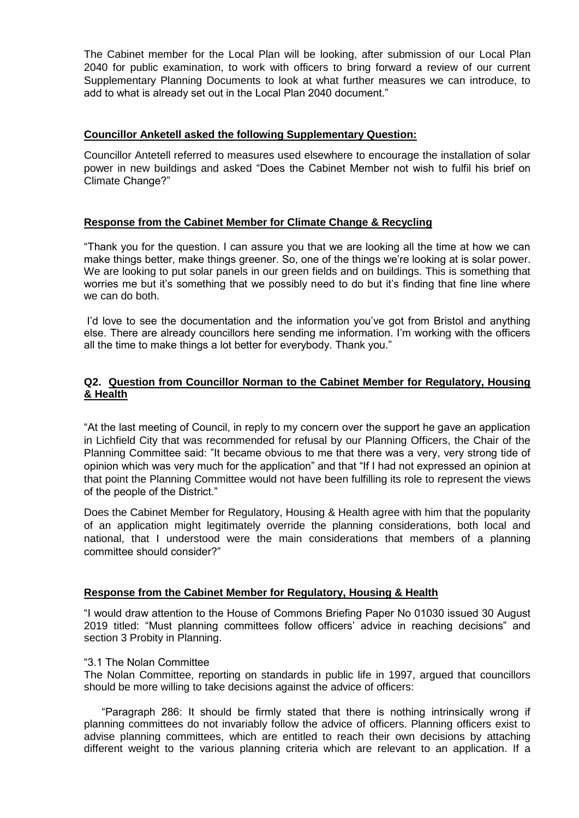The Cabinet member for the Local Plan will be looking, after submission of our Local Plan 2040 for public examination, to work with officers to bring forward a review of our current Supplementary Planning Documents to look at what further measures we can introduce, to add to what is already set out in the Local Plan 2040 document."

## **Councillor Anketell asked the following Supplementary Question:**

Councillor Antetell referred to measures used elsewhere to encourage the installation of solar power in new buildings and asked "Does the Cabinet Member not wish to fulfil his brief on Climate Change?"

## **Response from the Cabinet Member for Climate Change & Recycling**

"Thank you for the question. I can assure you that we are looking all the time at how we can make things better, make things greener. So, one of the things we're looking at is solar power. We are looking to put solar panels in our green fields and on buildings. This is something that worries me but it's something that we possibly need to do but it's finding that fine line where we can do both.

I'd love to see the documentation and the information you've got from Bristol and anything else. There are already councillors here sending me information. I'm working with the officers all the time to make things a lot better for everybody. Thank you."

## **Q2. Question from Councillor Norman to the Cabinet Member for Regulatory, Housing & Health**

"At the last meeting of Council, in reply to my concern over the support he gave an application in Lichfield City that was recommended for refusal by our Planning Officers, the Chair of the Planning Committee said: "It became obvious to me that there was a very, very strong tide of opinion which was very much for the application" and that "If I had not expressed an opinion at that point the Planning Committee would not have been fulfilling its role to represent the views of the people of the District."

Does the Cabinet Member for Regulatory, Housing & Health agree with him that the popularity of an application might legitimately override the planning considerations, both local and national, that I understood were the main considerations that members of a planning committee should consider?"

## **Response from the Cabinet Member for Regulatory, Housing & Health**

"I would draw attention to the House of Commons Briefing Paper No 01030 issued 30 August 2019 titled: "Must planning committees follow officers' advice in reaching decisions" and section 3 Probity in Planning.

#### "3.1 The Nolan Committee

The Nolan Committee, reporting on standards in public life in 1997, argued that councillors should be more willing to take decisions against the advice of officers:

 "Paragraph 286: It should be firmly stated that there is nothing intrinsically wrong if planning committees do not invariably follow the advice of officers. Planning officers exist to advise planning committees, which are entitled to reach their own decisions by attaching different weight to the various planning criteria which are relevant to an application. If a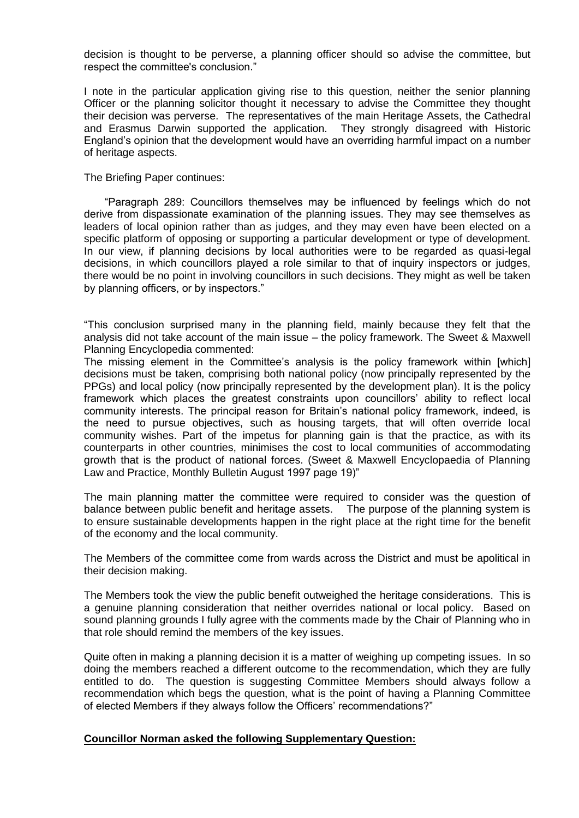decision is thought to be perverse, a planning officer should so advise the committee, but respect the committee's conclusion."

I note in the particular application giving rise to this question, neither the senior planning Officer or the planning solicitor thought it necessary to advise the Committee they thought their decision was perverse. The representatives of the main Heritage Assets, the Cathedral and Erasmus Darwin supported the application. They strongly disagreed with Historic England's opinion that the development would have an overriding harmful impact on a number of heritage aspects.

The Briefing Paper continues:

 "Paragraph 289: Councillors themselves may be influenced by feelings which do not derive from dispassionate examination of the planning issues. They may see themselves as leaders of local opinion rather than as judges, and they may even have been elected on a specific platform of opposing or supporting a particular development or type of development. In our view, if planning decisions by local authorities were to be regarded as quasi-legal decisions, in which councillors played a role similar to that of inquiry inspectors or judges, there would be no point in involving councillors in such decisions. They might as well be taken by planning officers, or by inspectors."

"This conclusion surprised many in the planning field, mainly because they felt that the analysis did not take account of the main issue – the policy framework. The Sweet & Maxwell Planning Encyclopedia commented:

The missing element in the Committee's analysis is the policy framework within [which] decisions must be taken, comprising both national policy (now principally represented by the PPGs) and local policy (now principally represented by the development plan). It is the policy framework which places the greatest constraints upon councillors' ability to reflect local community interests. The principal reason for Britain's national policy framework, indeed, is the need to pursue objectives, such as housing targets, that will often override local community wishes. Part of the impetus for planning gain is that the practice, as with its counterparts in other countries, minimises the cost to local communities of accommodating growth that is the product of national forces. (Sweet & Maxwell Encyclopaedia of Planning Law and Practice, Monthly Bulletin August 1997 page 19)"

The main planning matter the committee were required to consider was the question of balance between public benefit and heritage assets. The purpose of the planning system is to ensure sustainable developments happen in the right place at the right time for the benefit of the economy and the local community.

The Members of the committee come from wards across the District and must be apolitical in their decision making.

The Members took the view the public benefit outweighed the heritage considerations. This is a genuine planning consideration that neither overrides national or local policy. Based on sound planning grounds I fully agree with the comments made by the Chair of Planning who in that role should remind the members of the key issues.

Quite often in making a planning decision it is a matter of weighing up competing issues. In so doing the members reached a different outcome to the recommendation, which they are fully entitled to do. The question is suggesting Committee Members should always follow a recommendation which begs the question, what is the point of having a Planning Committee of elected Members if they always follow the Officers' recommendations?"

#### **Councillor Norman asked the following Supplementary Question:**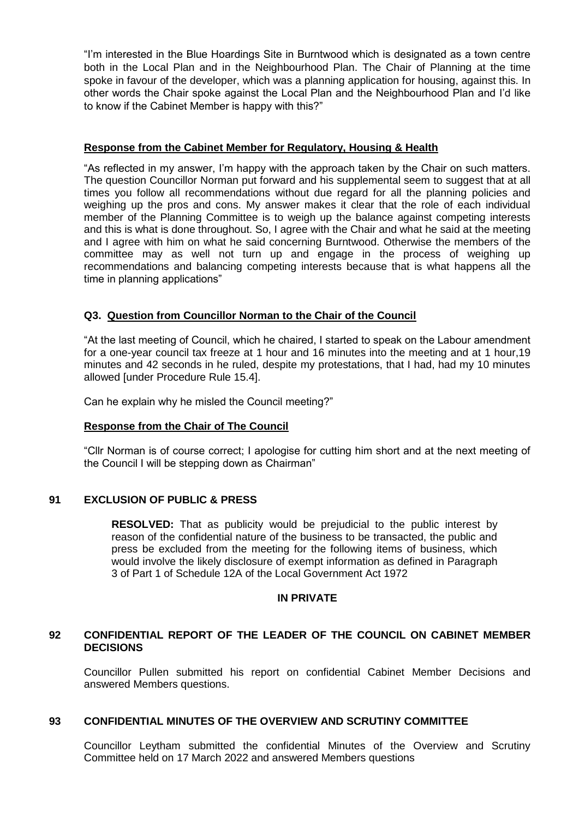"I'm interested in the Blue Hoardings Site in Burntwood which is designated as a town centre both in the Local Plan and in the Neighbourhood Plan. The Chair of Planning at the time spoke in favour of the developer, which was a planning application for housing, against this. In other words the Chair spoke against the Local Plan and the Neighbourhood Plan and I'd like to know if the Cabinet Member is happy with this?"

### **Response from the Cabinet Member for Regulatory, Housing & Health**

"As reflected in my answer, I'm happy with the approach taken by the Chair on such matters. The question Councillor Norman put forward and his supplemental seem to suggest that at all times you follow all recommendations without due regard for all the planning policies and weighing up the pros and cons. My answer makes it clear that the role of each individual member of the Planning Committee is to weigh up the balance against competing interests and this is what is done throughout. So, I agree with the Chair and what he said at the meeting and I agree with him on what he said concerning Burntwood. Otherwise the members of the committee may as well not turn up and engage in the process of weighing up recommendations and balancing competing interests because that is what happens all the time in planning applications"

## **Q3. Question from Councillor Norman to the Chair of the Council**

"At the last meeting of Council, which he chaired, I started to speak on the Labour amendment for a one-year council tax freeze at 1 hour and 16 minutes into the meeting and at 1 hour,19 minutes and 42 seconds in he ruled, despite my protestations, that I had, had my 10 minutes allowed [under Procedure Rule 15.4].

Can he explain why he misled the Council meeting?"

#### **Response from the Chair of The Council**

"Cllr Norman is of course correct; I apologise for cutting him short and at the next meeting of the Council I will be stepping down as Chairman"

#### **91 EXCLUSION OF PUBLIC & PRESS**

**RESOLVED:** That as publicity would be prejudicial to the public interest by reason of the confidential nature of the business to be transacted, the public and press be excluded from the meeting for the following items of business, which would involve the likely disclosure of exempt information as defined in Paragraph 3 of Part 1 of Schedule 12A of the Local Government Act 1972

#### **IN PRIVATE**

## **92 CONFIDENTIAL REPORT OF THE LEADER OF THE COUNCIL ON CABINET MEMBER DECISIONS**

Councillor Pullen submitted his report on confidential Cabinet Member Decisions and answered Members questions.

### **93 CONFIDENTIAL MINUTES OF THE OVERVIEW AND SCRUTINY COMMITTEE**

Councillor Leytham submitted the confidential Minutes of the Overview and Scrutiny Committee held on 17 March 2022 and answered Members questions